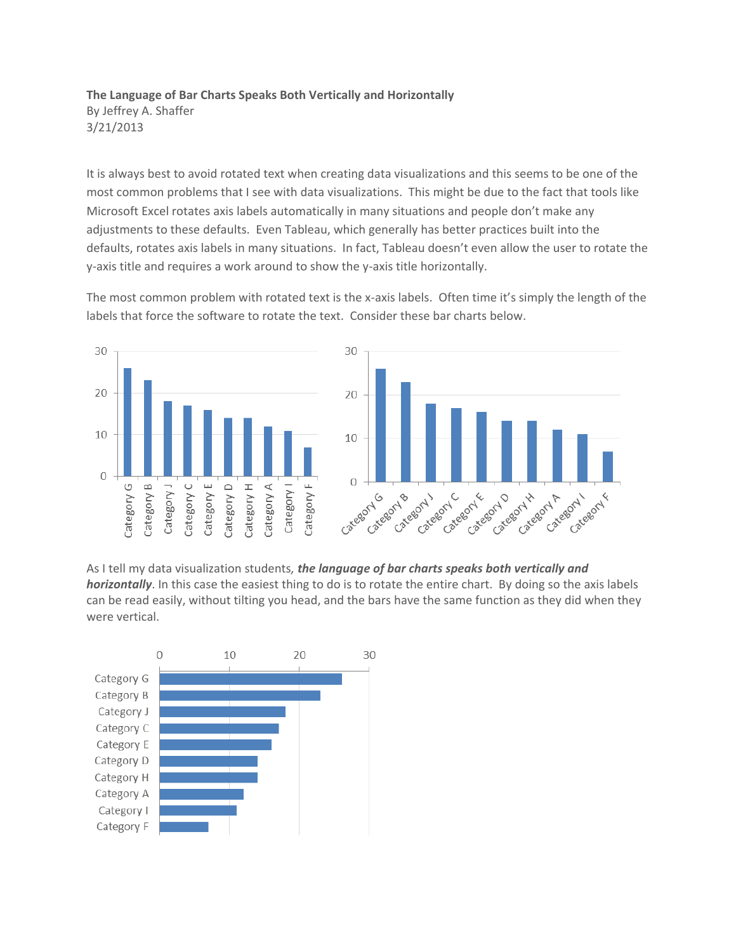## **The Language of Bar Charts Speaks Both Vertically and Horizontally** By Jeffrey A. Shaffer 3/21/2013

It is always best to avoid rotated text when creating data visualizations and this seems to be one of the most common problems that I see with data visualizations. This might be due to the fact that tools like Microsoft Excel rotates axis labels automatically in many situations and people don't make any adjustments to these defaults. Even Tableau, which generally has better practices built into the defaults, rotates axis labels in many situations. In fact, Tableau doesn't even allow the user to rotate the y-axis title and requires a work around to show the y-axis title horizontally.

The most common problem with rotated text is the x-axis labels. Often time it's simply the length of the labels that force the software to rotate the text. Consider these bar charts below.



As I tell my data visualization students*, the language of bar charts speaks both vertically and horizontally*. In this case the easiest thing to do is to rotate the entire chart. By doing so the axis labels can be read easily, without tilting you head, and the bars have the same function as they did when they were vertical.